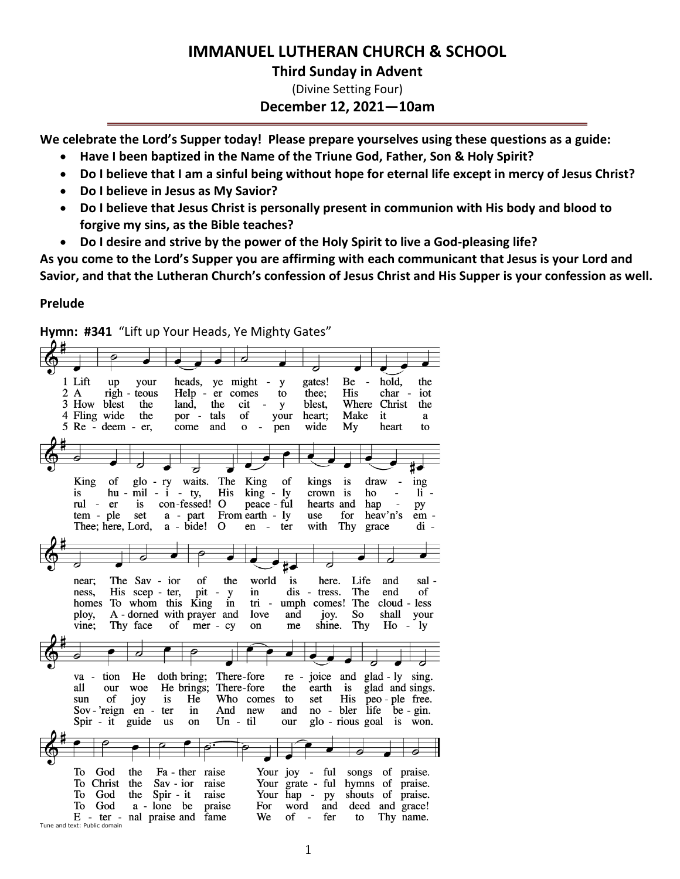# **IMMANUEL LUTHERAN CHURCH & SCHOOL**

# **Third Sunday in Advent**

(Divine Setting Four)

# **December 12, 2021—10am**

**We celebrate the Lord's Supper today! Please prepare yourselves using these questions as a guide:**

- **Have I been baptized in the Name of the Triune God, Father, Son & Holy Spirit?**
- **Do I believe that I am a sinful being without hope for eternal life except in mercy of Jesus Christ?**
- **Do I believe in Jesus as My Savior?**
- **Do I believe that Jesus Christ is personally present in communion with His body and blood to forgive my sins, as the Bible teaches?**
- **Do I desire and strive by the power of the Holy Spirit to live a God-pleasing life?**

**As you come to the Lord's Supper you are affirming with each communicant that Jesus is your Lord and Savior, and that the Lutheran Church's confession of Jesus Christ and His Supper is your confession as well.**

the

iot

the

 $\bf a$ 

to

ing

py

 $\mathbf{li}$  -

em -

 $di -$ 

# **Prelude**

**Hymn: #341** "Lift up Your Heads, Ye Mighty Gates" gates! 1 Lift  $up$ your heads, ye might - y Be hold.  $2A$ righ - teous Help - er comes thee: **His** char to 3 How blest the land, the cit blest, Where Christ y your 4 Fling wide the por - tals of heart; Make it 5 Re - deem - er, come and  $\mathbf{o}$  $\overline{\phantom{a}}$ pen wide My heart  $\overline{z}$ glo - ry King of waits. The King of kings is draw is  $hu - mil - i - ty$ , **His** king - ly crown is ho rul - er con-fessed! O peace - ful hearts and hap is set tem - ple a - part From earth - ly use for heav'n's  $a - bide!$  O Thee; here, Lord, en - ter with Thy grace

| near:<br>ness.<br>homes<br>ploy,<br>vine;                                   | The Sav - ior<br>His scep - ter,<br>To whom this King<br>A - dorned with prayer and<br>Thy face | of<br>the<br>pit<br>$\overline{\phantom{m}}$<br>y<br>in<br>of mer $-cy$                      | world<br>in<br>tri -<br>love<br>on | is<br>here.<br>dis<br>$\overline{\phantom{a}}$<br>tress.<br>umph comes! The<br>and<br>joy.<br>shine.<br>me | Life<br>The<br>So<br>Thy | and<br>sal -<br>of<br>end<br>cloud - less<br>shall<br>your<br>$H_0$ -<br>ly.                             |
|-----------------------------------------------------------------------------|-------------------------------------------------------------------------------------------------|----------------------------------------------------------------------------------------------|------------------------------------|------------------------------------------------------------------------------------------------------------|--------------------------|----------------------------------------------------------------------------------------------------------|
|                                                                             |                                                                                                 |                                                                                              |                                    |                                                                                                            |                          |                                                                                                          |
|                                                                             |                                                                                                 |                                                                                              |                                    |                                                                                                            |                          |                                                                                                          |
| tion<br>$va -$<br>all<br>our<br>οf<br>sun<br>Sov-'reign $en -$<br>Spir - it | He<br>woe<br>is<br>joy<br>ter<br>guide<br><b>us</b>                                             | There-fore<br>doth bring;<br>He brings;<br>There-fore<br>He<br>in<br>And<br>$Un - til$<br>on | Who comes<br>new                   | re -<br>earth<br>the<br>set<br>to<br>and<br>our                                                            | is<br>glo - rious goal   | joice and glad - ly sing.<br>glad and sings.<br>His peo-ple free.<br>no - bler life be - gin.<br>is won. |
|                                                                             |                                                                                                 |                                                                                              |                                    |                                                                                                            |                          |                                                                                                          |
| Тo<br>God                                                                   | the                                                                                             | Fa - ther raise                                                                              |                                    | Your joy - ful                                                                                             | songs                    | of<br>praise.                                                                                            |
| Christ<br>To                                                                | the<br>$Sav - i$                                                                                | raise                                                                                        |                                    | Your grate -<br>ful                                                                                        | hymns                    | of<br>praise.                                                                                            |
| To<br>God                                                                   | $Spir - it$<br>the                                                                              | raise                                                                                        | Your                               | hap - py                                                                                                   | shouts                   | of<br>praise.                                                                                            |
| To<br>God                                                                   | a - lone be                                                                                     | praise                                                                                       | For                                | word<br>and                                                                                                | deed                     | and grace!                                                                                               |
| Tune and text: Public domain                                                | $E$ - ter - nal praise and                                                                      | fame                                                                                         | We                                 | fer<br>of<br>$\overline{a}$                                                                                | to                       | Thy name.                                                                                                |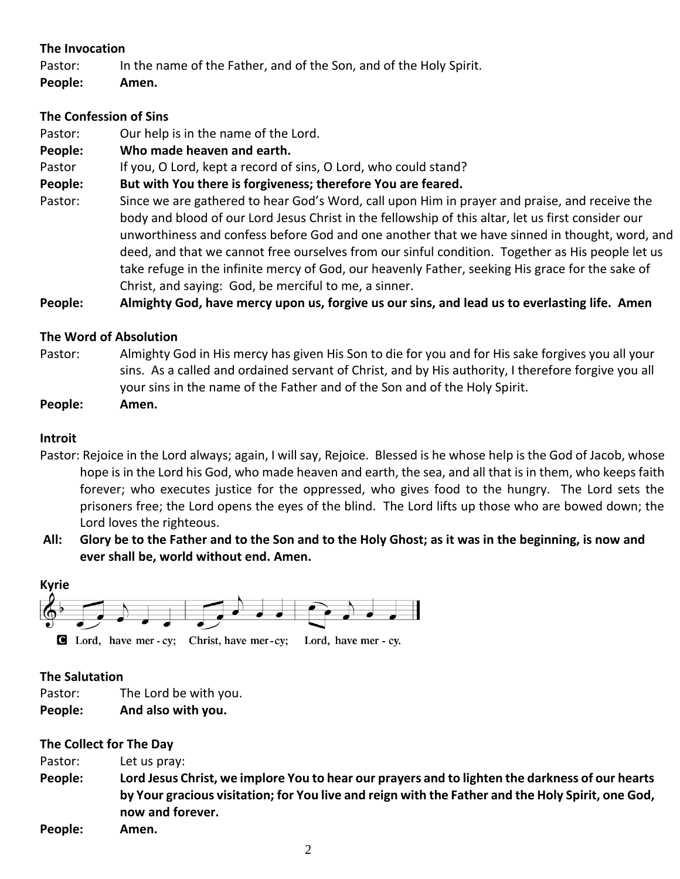# **The Invocation**

Pastor: In the name of the Father, and of the Son, and of the Holy Spirit.

**People: Amen.**

# **The Confession of Sins**

- Pastor: Our help is in the name of the Lord.
- **People: Who made heaven and earth.**

Pastor If you, O Lord, kept a record of sins, O Lord, who could stand?

**People: But with You there is forgiveness; therefore You are feared.**

Pastor: Since we are gathered to hear God's Word, call upon Him in prayer and praise, and receive the body and blood of our Lord Jesus Christ in the fellowship of this altar, let us first consider our unworthiness and confess before God and one another that we have sinned in thought, word, and deed, and that we cannot free ourselves from our sinful condition. Together as His people let us take refuge in the infinite mercy of God, our heavenly Father, seeking His grace for the sake of Christ, and saying: God, be merciful to me, a sinner.

**People: Almighty God, have mercy upon us, forgive us our sins, and lead us to everlasting life. Amen**

# **The Word of Absolution**

Pastor: Almighty God in His mercy has given His Son to die for you and for His sake forgives you all your sins. As a called and ordained servant of Christ, and by His authority, I therefore forgive you all your sins in the name of the Father and of the Son and of the Holy Spirit.

**People: Amen.**

# **Introit**

- Pastor: Rejoice in the Lord always; again, I will say, Rejoice. Blessed is he whose help is the God of Jacob, whose hope is in the Lord his God, who made heaven and earth, the sea, and all that is in them, who keeps faith forever; who executes justice for the oppressed, who gives food to the hungry. The Lord sets the prisoners free; the Lord opens the eyes of the blind. The Lord lifts up those who are bowed down; the Lord loves the righteous.
- **All: Glory be to the Father and to the Son and to the Holy Ghost; as it was in the beginning, is now and ever shall be, world without end. Amen.**



# **The Salutation**

- Pastor: The Lord be with you.
- **People: And also with you.**

# **The Collect for The Day**

- Pastor: Let us pray:
- **People: Lord Jesus Christ, we implore You to hear our prayers and to lighten the darkness of our hearts by Your gracious visitation; for You live and reign with the Father and the Holy Spirit, one God, now and forever.**
- **People: Amen.**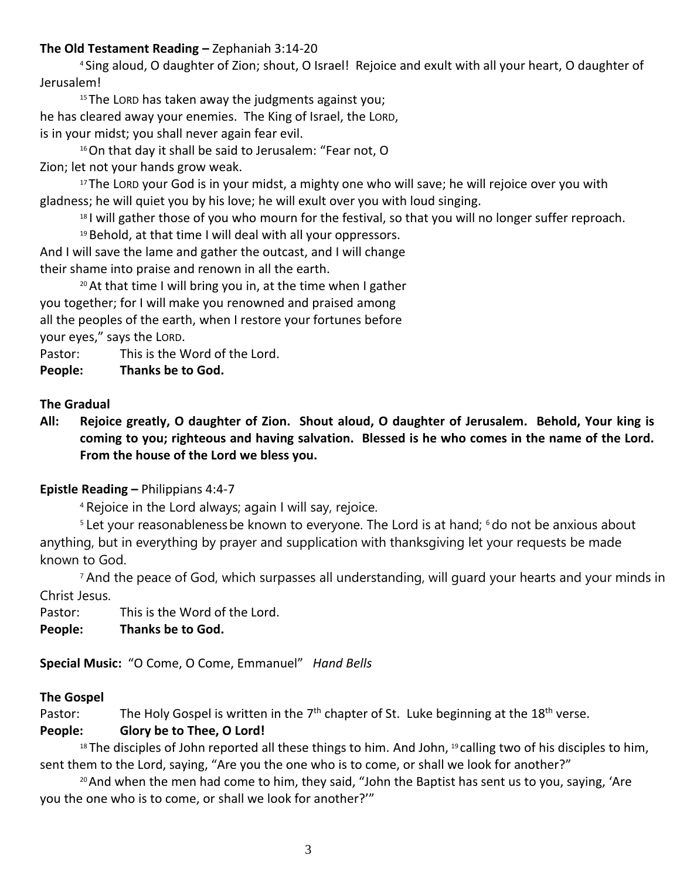# **The Old Testament Reading –** Zephaniah 3:14-20

<sup>4</sup> Sing aloud, O daughter of Zion; shout, O Israel! Rejoice and exult with all your heart, O daughter of Jerusalem!

<sup>15</sup> The LORD has taken away the judgments against you; he has cleared away your enemies. The King of Israel, the LORD, is in your midst; you shall never again fear evil.

<sup>16</sup>On that day it shall be said to Jerusalem: "Fear not, O Zion; let not your hands grow weak.

<sup>17</sup> The LORD your God is in your midst, a mighty one who will save; he will rejoice over you with gladness; he will quiet you by his love; he will exult over you with loud singing.

<sup>18</sup> I will gather those of you who mourn for the festival, so that you will no longer suffer reproach.

 $19$  Behold, at that time I will deal with all your oppressors.

And I will save the lame and gather the outcast, and I will change their shame into praise and renown in all the earth.

 $20$  At that time I will bring you in, at the time when I gather you together; for I will make you renowned and praised among all the peoples of the earth, when I restore your fortunes before your eyes," says the LORD.

Pastor: This is the Word of the Lord.

**People: Thanks be to God.**

# **The Gradual**

**All: Rejoice greatly, O daughter of Zion. Shout aloud, O daughter of Jerusalem. Behold, Your king is coming to you; righteous and having salvation. Blessed is he who comes in the name of the Lord. From the house of the Lord we bless you.**

# **Epistle Reading –** Philippians 4:4-7

<sup>4</sup> Rejoice in the Lord always; again I will say, rejoice.

<sup>5</sup> Let your reasonableness be known to everyone. The Lord is at hand; <sup>6</sup> do not be anxious about anything, but in everything by prayer and supplication with thanksgiving let your requests be made known to God.

<sup>7</sup> And the peace of God, which surpasses all understanding, will guard your hearts and your minds in Christ Jesus.

Pastor: This is the Word of the Lord.

**People: Thanks be to God.**

**Special Music:** "O Come, O Come, Emmanuel" *Hand Bells*

# **The Gospel**

Pastor: The Holy Gospel is written in the  $7<sup>th</sup>$  chapter of St. Luke beginning at the 18<sup>th</sup> verse.

# **People: Glory be to Thee, O Lord!**

 $18$  The disciples of John reported all these things to him. And John,  $19$  calling two of his disciples to him, sent them to the Lord, saying, "Are you the one who is to come, or shall we look for another?"

<sup>20</sup> And when the men had come to him, they said, "John the Baptist has sent us to you, saying, 'Are you the one who is to come, or shall we look for another?'"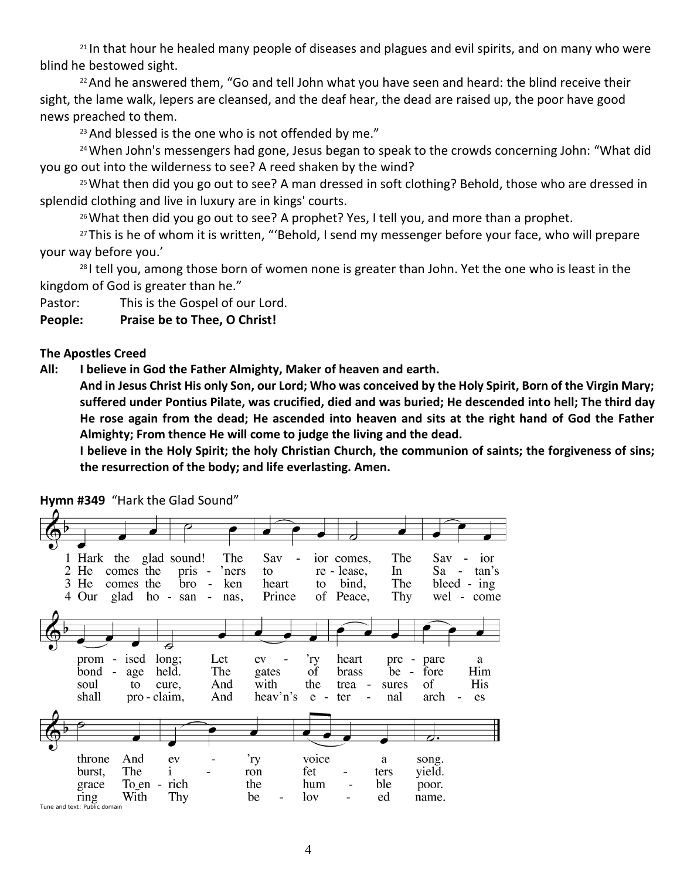<sup>21</sup> In that hour he healed many people of diseases and plagues and evil spirits, and on many who were blind he bestowed sight.

 $22$  And he answered them, "Go and tell John what you have seen and heard: the blind receive their sight, the lame walk, lepers are cleansed, and the deaf hear, the dead are raised up, the poor have good news preached to them.

 $23$  And blessed is the one who is not offended by me."

<sup>24</sup> When John's messengers had gone, Jesus began to speak to the crowds concerning John: "What did you go out into the wilderness to see? A reed shaken by the wind?

<sup>25</sup> What then did you go out to see? A man dressed in soft clothing? Behold, those who are dressed in splendid clothing and live in luxury are in kings' courts.

<sup>26</sup> What then did you go out to see? A prophet? Yes, I tell you, and more than a prophet.

<sup>27</sup> This is he of whom it is written, "'Behold, I send my messenger before your face, who will prepare your way before you.'

<sup>28</sup> I tell you, among those born of women none is greater than John. Yet the one who is least in the kingdom of God is greater than he."

Pastor: This is the Gospel of our Lord.

**People: Praise be to Thee, O Christ!**

# **The Apostles Creed**

**All: I believe in God the Father Almighty, Maker of heaven and earth.** 

**And in Jesus Christ His only Son, our Lord; Who was conceived by the Holy Spirit, Born of the Virgin Mary; suffered under Pontius Pilate, was crucified, died and was buried; He descended into hell; The third day He rose again from the dead; He ascended into heaven and sits at the right hand of God the Father Almighty; From thence He will come to judge the living and the dead.**

**I believe in the Holy Spirit; the holy Christian Church, the communion of saints; the forgiveness of sins; the resurrection of the body; and life everlasting. Amen.**

1 Hark the glad sound! The Sav ior comes, The  $Sav \overline{a}$ ior 2 He comes the  $pris$  -'ners to re - lease, In Sa  $\sim$ tan's The 3 He comes the bro  $\sim$ ken heart to bind, bleed -  $ing$ 4 Our glad ho san  $\mathcal{L}_{\mathcal{A}}$ Prince Peace, Thy wel - come nas, οf prom - ised long; Let 'ry heart ev pre pare a  $\bar{b}$ ond held. The  $\overline{of}$  $be$ fore Him age gates brass His soul cure, And with of to the trea sures shall pro - claim, heav'n's arch And e  $\overline{a}$ ter nal es And voice throne ev 'ry song. a burst, The  $\mathbf{i}$ ron fet yield. ters To  $en$ rich hum grace the ble poor. ring With Thy be lov ed name. Tune and text: Public domain

**Hymn #349** "Hark the Glad Sound"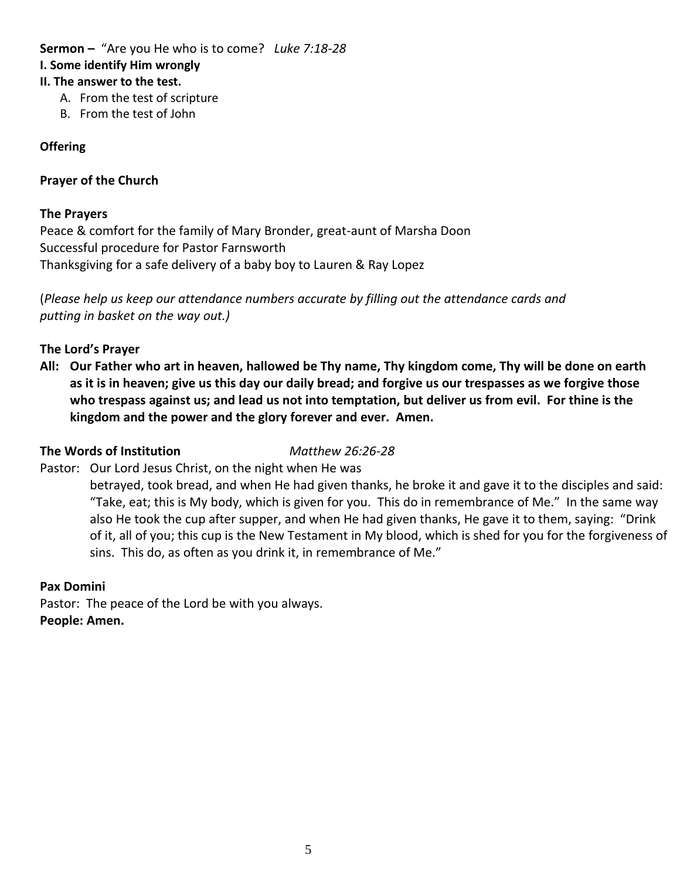# **Sermon –** "Are you He who is to come? *Luke 7:18-28* **I. Some identify Him wrongly II. The answer to the test.**

- A. From the test of scripture
- B. From the test of John

## **Offering**

### **Prayer of the Church**

### **The Prayers**

Peace & comfort for the family of Mary Bronder, great-aunt of Marsha Doon Successful procedure for Pastor Farnsworth Thanksgiving for a safe delivery of a baby boy to Lauren & Ray Lopez

(*Please help us keep our attendance numbers accurate by filling out the attendance cards and putting in basket on the way out.)*

### **The Lord's Prayer**

**All: Our Father who art in heaven, hallowed be Thy name, Thy kingdom come, Thy will be done on earth as it is in heaven; give us this day our daily bread; and forgive us our trespasses as we forgive those who trespass against us; and lead us not into temptation, but deliver us from evil. For thine is the kingdom and the power and the glory forever and ever. Amen.**

#### **The Words of Institution** *Matthew 26:26-28*

Pastor: Our Lord Jesus Christ, on the night when He was

betrayed, took bread, and when He had given thanks, he broke it and gave it to the disciples and said: "Take, eat; this is My body, which is given for you. This do in remembrance of Me." In the same way also He took the cup after supper, and when He had given thanks, He gave it to them, saying: "Drink of it, all of you; this cup is the New Testament in My blood, which is shed for you for the forgiveness of sins. This do, as often as you drink it, in remembrance of Me."

# **Pax Domini**

Pastor: The peace of the Lord be with you always. **People: Amen.**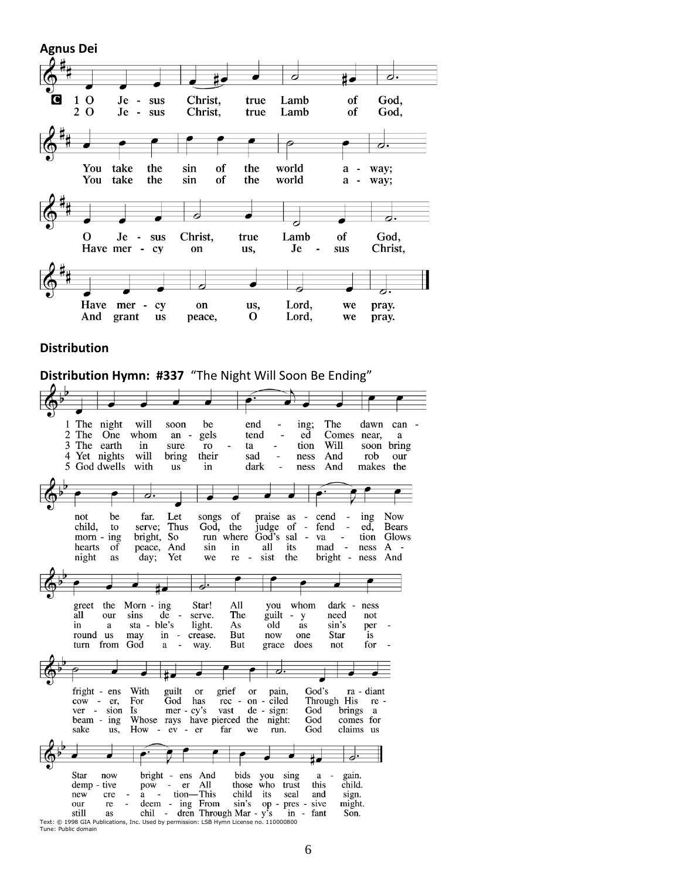

#### **Distribution**

**Distribution Hymn: #337** "The Night Will Soon Be Ending"

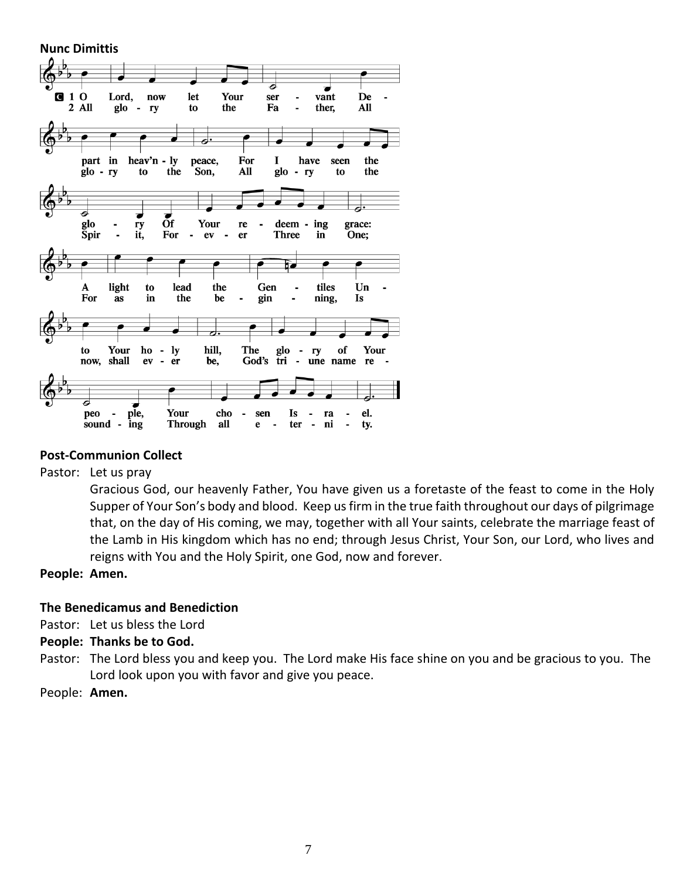**Nunc Dimittis**  $\mathbf{z}^{\mathrm{p}}$  $010$ Lord, now let Your ser vant De  $2$  All glo  $\blacksquare$ ry to the Fa L. ther, All  $\overline{\boldsymbol{\sigma}}$ part in heav'n  $-$  ly peace, For I have seen the the Son,  $A11$ glo the glo - ry to to  $-ry$ ठ  $\overrightarrow{or}$  $\overline{\phantom{a}}$  $glo$ Your ry re deem - ing grace: **Spir** it, For  $\overline{\phantom{a}}$ One;  $ev$  $\overline{\phantom{a}}$  $er$ Three in A light to lead the Gen tiles Un  $\overline{\phantom{a}}$  $\blacksquare$ For as in the be gin  $\overline{a}$ ning, Is 力. Your hill, The of ly Your to ho  $\blacksquare$ glo  $\overline{\phantom{a}}$ ry now, shall  ${\bf ev}$  $\Box$  $er$ be, God's tri  $\mathcal{L}^{\pm}$ une name re peo ple. Your cho sen Is ra el. sound -  $ing$ **Through** all e ter  $\overline{\phantom{a}}$ ni  $\blacksquare$ ty.  $\blacksquare$ 

# **Post-Communion Collect**

Pastor: Let us pray

Gracious God, our heavenly Father, You have given us a foretaste of the feast to come in the Holy Supper of Your Son's body and blood. Keep us firm in the true faith throughout our days of pilgrimage that, on the day of His coming, we may, together with all Your saints, celebrate the marriage feast of the Lamb in His kingdom which has no end; through Jesus Christ, Your Son, our Lord, who lives and reigns with You and the Holy Spirit, one God, now and forever.

**People: Amen.**

#### **The Benedicamus and Benediction**

Pastor: Let us bless the Lord

#### **People: Thanks be to God.**

- Pastor: The Lord bless you and keep you. The Lord make His face shine on you and be gracious to you. The Lord look upon you with favor and give you peace.
- People: **Amen.**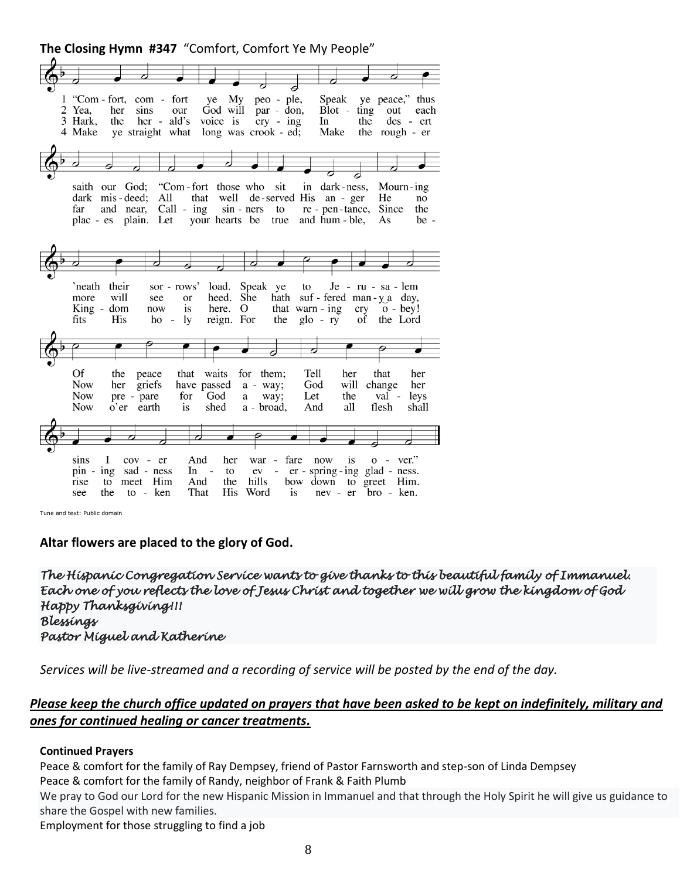**The Closing Hymn #347** "Comfort, Comfort Ye My People"



Tune and text: Public domain

**Altar flowers are placed to the glory of God.**

*The Hispanic Congregation Service wants to give thanks to this beautiful family of Immanuel. Each one of you reflects the love of Jesus Christ and together we will grow the kingdom of God Happy Thanksgiving!!! Blessings Pastor Miguel and Katherine* 

*Services will be live-streamed and a recording of service will be posted by the end of the day.* 

### *Please keep the church office updated on prayers that have been asked to be kept on indefinitely, military and ones for continued healing or cancer treatments.*

#### **Continued Prayers**

Peace & comfort for the family of Ray Dempsey, friend of Pastor Farnsworth and step-son of Linda Dempsey

Peace & comfort for the family of Randy, neighbor of Frank & Faith Plumb

We pray to God our Lord for the new Hispanic Mission in Immanuel and that through the Holy Spirit he will give us guidance to share the Gospel with new families.

Employment for those struggling to find a job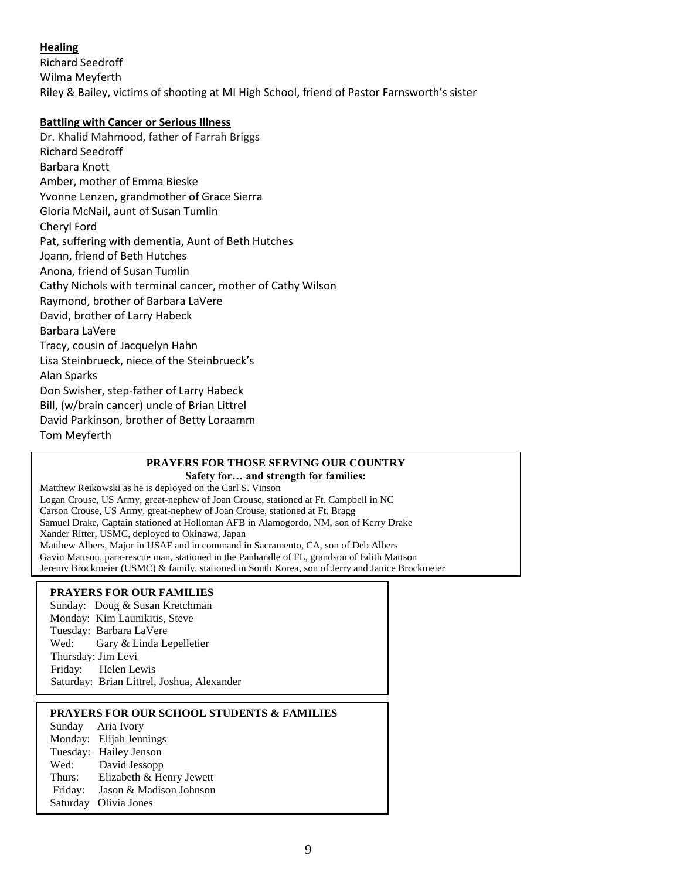### **Healing**

Richard Seedroff Wilma Meyferth Riley & Bailey, victims of shooting at MI High School, friend of Pastor Farnsworth's sister

#### **Battling with Cancer or Serious Illness**

Dr. Khalid Mahmood, father of Farrah Briggs Richard Seedroff Barbara Knott Amber, mother of Emma Bieske Yvonne Lenzen, grandmother of Grace Sierra Gloria McNail, aunt of Susan Tumlin Cheryl Ford Pat, suffering with dementia, Aunt of Beth Hutches Joann, friend of Beth Hutches Anona, friend of Susan Tumlin Cathy Nichols with terminal cancer, mother of Cathy Wilson Raymond, brother of Barbara LaVere David, brother of Larry Habeck Barbara LaVere Tracy, cousin of Jacquelyn Hahn Lisa Steinbrueck, niece of the Steinbrueck's Alan Sparks Don Swisher, step-father of Larry Habeck Bill, (w/brain cancer) uncle of Brian Littrel David Parkinson, brother of Betty Loraamm Tom Meyferth

#### **PRAYERS FOR THOSE SERVING OUR COUNTRY Safety for… and strength for families:**

Matthew Reikowski as he is deployed on the Carl S. Vinson Logan Crouse, US Army, great-nephew of Joan Crouse, stationed at Ft. Campbell in NC Carson Crouse, US Army, great-nephew of Joan Crouse, stationed at Ft. Bragg Samuel Drake, Captain stationed at Holloman AFB in Alamogordo, NM, son of Kerry Drake Xander Ritter, USMC, deployed to Okinawa, Japan Matthew Albers, Major in USAF and in command in Sacramento, CA, son of Deb Albers Gavin Mattson, para-rescue man, stationed in the Panhandle of FL, grandson of Edith Mattson Jeremy Brockmeier (USMC) & family, stationed in South Korea, son of Jerry and Janice Brockmeier

#### **PRAYERS FOR OUR FAMILIES**

Sunday: Doug & Susan Kretchman Monday: Kim Launikitis, Steve Tuesday: Barbara LaVere Wed: Gary & Linda Lepelletier Thursday: Jim Levi Friday: Helen Lewis Saturday: Brian Littrel, Joshua, Alexander

#### **PRAYERS FOR OUR SCHOOL STUDENTS & FAMILIES**

Sunday Aria Ivory Monday: Elijah Jennings Tuesday: Hailey Jenson Wed: David Jessopp Thurs: Elizabeth & Henry Jewett Friday: Jason & Madison Johnson Saturday Olivia Jones